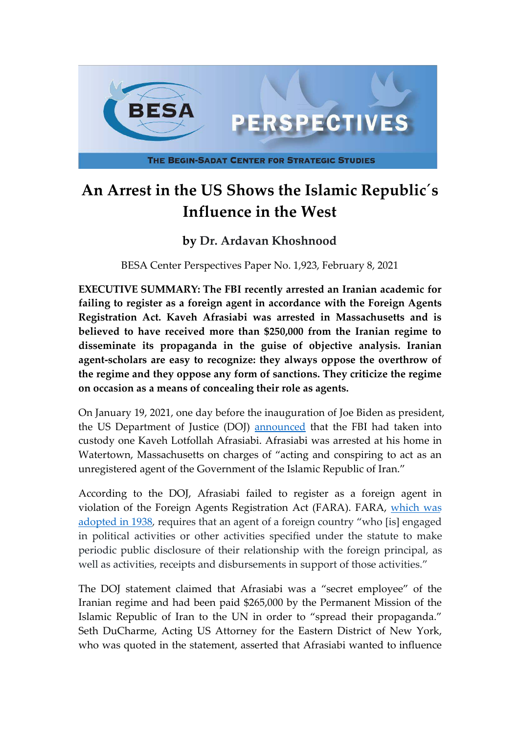

## **An Arrest in the US Shows the Islamic Republic´s Influence in the West**

## **by Dr. Ardavan Khoshnood**

BESA Center Perspectives Paper No. 1,923, February 8, 2021

**EXECUTIVE SUMMARY: The FBI recently arrested an Iranian academic for failing to register as a foreign agent in accordance with the Foreign Agents Registration Act. Kaveh Afrasiabi was arrested in Massachusetts and is believed to have received more than \$250,000 from the Iranian regime to disseminate its propaganda in the guise of objective analysis. Iranian agent-scholars are easy to recognize: they always oppose the overthrow of the regime and they oppose any form of sanctions. They criticize the regime on occasion as a means of concealing their role as agents.**

On January 19, 2021, one day before the inauguration of Joe Biden as president, the US Department of Justice (DOJ) [announced](https://www.justice.gov/opa/pr/political-scientist-author-charged-acting-unregistered-agent-iranian-government) that the FBI had taken into custody one Kaveh Lotfollah Afrasiabi. Afrasiabi was arrested at his home in Watertown, Massachusetts on charges of "acting and conspiring to act as an unregistered agent of the Government of the Islamic Republic of Iran."

According to the DOJ, Afrasiabi failed to register as a foreign agent in violation of the Foreign Agents Registration Act (FARA). FARA, [which was](https://www.justice.gov/nsd-fara) adopted in 1938, requires that an agent of a foreign country "who [is] engaged in political activities or other activities specified under the statute to make periodic public disclosure of their relationship with the foreign principal, as well as activities, receipts and disbursements in support of those activities."

The DOJ statement claimed that Afrasiabi was a "secret employee" of the Iranian regime and had been paid \$265,000 by the Permanent Mission of the Islamic Republic of Iran to the UN in order to "spread their propaganda." Seth DuCharme, Acting US Attorney for the Eastern District of New York, who was quoted in the statement, asserted that Afrasiabi wanted to influence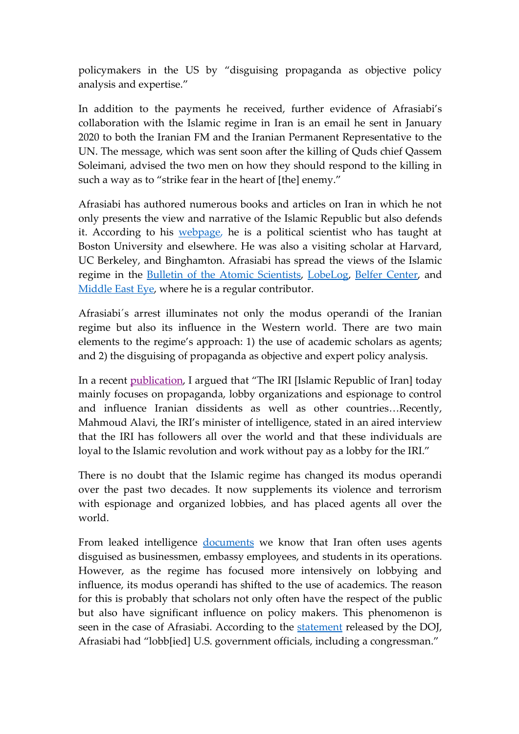policymakers in the US by "disguising propaganda as objective policy analysis and expertise."

In addition to the payments he received, further evidence of Afrasiabi's collaboration with the Islamic regime in Iran is an email he sent in January 2020 to both the Iranian FM and the Iranian Permanent Representative to the UN. The message, which was sent soon after the killing of Quds chief Qassem Soleimani, advised the two men on how they should respond to the killing in such a way as to "strike fear in the heart of [the] enemy."

Afrasiabi has authored numerous books and articles on Iran in which he not only presents the view and narrative of the Islamic Republic but also defends it. According to his [webpage,](http://www.kavehafrasiabi.com/) he is a political scientist who has taught at Boston University and elsewhere. He was also a visiting scholar at Harvard, UC Berkeley, and Binghamton. Afrasiabi has spread the views of the Islamic regime in the [Bulletin of the Atomic Scientists](https://thebulletin.org/biography/kaveh-l-afrasiabi/), [LobeLog,](https://lobelog.com/tag/kaveh-afrasiabi/) [Belfer Center](https://www.belfercenter.org/person/kaveh-l-afrasiabi/publication), and [Middle East Eye,](https://www.middleeasteye.net/users/kaveh-afrasiabi) where he is a regular contributor.

Afrasiabi´s arrest illuminates not only the modus operandi of the Iranian regime but also its influence in the Western world. There are two main elements to the regime's approach: 1) the use of academic scholars as agents; and 2) the disguising of propaganda as objective and expert policy analysis.

In a recent [publication,](http://www.cejiss.org/issue-detail/knoshnood2020) I argued that "The IRI [Islamic Republic of Iran] today mainly focuses on propaganda, lobby organizations and espionage to control and influence Iranian dissidents as well as other countries…Recently, Mahmoud Alavi, the IRI's minister of intelligence, stated in an aired interview that the IRI has followers all over the world and that these individuals are loyal to the Islamic revolution and work without pay as a lobby for the IRI."

There is no doubt that the Islamic regime has changed its modus operandi over the past two decades. It now supplements its violence and terrorism with espionage and organized lobbies, and has placed agents all over the world.

From leaked intelligence [documents](https://www.aljazeera.com/news/2015/2/23/spy-cables-south-african-spies-wary-of-iran-operations) we know that Iran often uses agents disguised as businessmen, embassy employees, and students in its operations. However, as the regime has focused more intensively on lobbying and influence, its modus operandi has shifted to the use of academics. The reason for this is probably that scholars not only often have the respect of the public but also have significant influence on policy makers. This phenomenon is seen in the case of Afrasiabi. According to the [statement](https://www.justice.gov/opa/pr/political-scientist-author-charged-acting-unregistered-agent-iranian-government) released by the DOJ, Afrasiabi had "lobb[ied] U.S. government officials, including a congressman."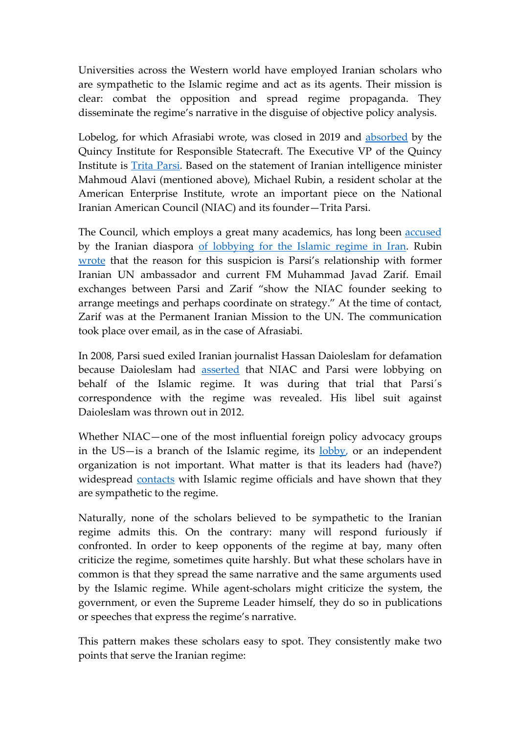Universities across the Western world have employed Iranian scholars who are sympathetic to the Islamic regime and act as its agents. Their mission is clear: combat the opposition and spread regime propaganda. They disseminate the regime's narrative in the disguise of objective policy analysis.

Lobelog, for which Afrasiabi wrote, was closed in 2019 and [absorbed](https://lobelog.com/after-12-years-lobelog-bids-farewell/) by the Quincy Institute for Responsible Statecraft. The Executive VP of the Quincy Institute is [Trita Parsi](https://quincyinst.org/author/tparsi/). Based on the statement of Iranian intelligence minister Mahmoud Alavi (mentioned above), Michael Rubin, a resident scholar at the American Enterprise Institute, wrote an important piece on the National Iranian American Council (NIAC) and its founder—Trita Parsi.

The Council, which employs a great many academics, has long been **[accused](https://freebeacon.com/national-security/progressive-groups-push-biden-to-tap-accused-iranian-lobbyist-for-top-national-security-role/)** by the Iranian diaspora [of lobbying for the Islamic regime in Iran.](https://freebeacon.com/national-security/former-iranian-official-pro-tehran-lobbyist-hosted-obama-white-house-dozens-times/) Rubin [wrote](https://www.commentarymagazine.com/michael-rubin/irans-emboldened-u-s-lobby-niac/) that the reason for this suspicion is Parsi's relationship with former Iranian UN ambassador and current FM Muhammad Javad Zarif. Email exchanges between Parsi and Zarif "show the NIAC founder seeking to arrange meetings and perhaps coordinate on strategy." At the time of contact, Zarif was at the Permanent Iranian Mission to the UN. The communication took place over email, as in the case of Afrasiabi.

In 2008, Parsi sued exiled Iranian journalist Hassan Daioleslam for defamation because Daioleslam had [asserted](http://iraniansforum.com/index.php/factbook/391-factbook.html) that NIAC and Parsi were lobbying on behalf of the Islamic regime. It was during that trial that Parsi´s correspondence with the regime was revealed. His libel suit against Daioleslam was thrown out in 2012.

Whether NIAC—one of the most influential foreign policy advocacy groups in the US-is a branch of the Islamic regime, its [lobby,](https://www.meforum.org/campus-watch/61629/stanford-under-the-influence-of-iran-lobby) or an independent organization is not important. What matter is that its leaders had (have?) widespread [contacts](https://www.cruz.senate.gov/?p=press_release&id=4864) with Islamic regime officials and have shown that they are sympathetic to the regime.

Naturally, none of the scholars believed to be sympathetic to the Iranian regime admits this. On the contrary: many will respond furiously if confronted. In order to keep opponents of the regime at bay, many often criticize the regime, sometimes quite harshly. But what these scholars have in common is that they spread the same narrative and the same arguments used by the Islamic regime. While agent-scholars might criticize the system, the government, or even the Supreme Leader himself, they do so in publications or speeches that express the regime's narrative.

This pattern makes these scholars easy to spot. They consistently make two points that serve the Iranian regime: